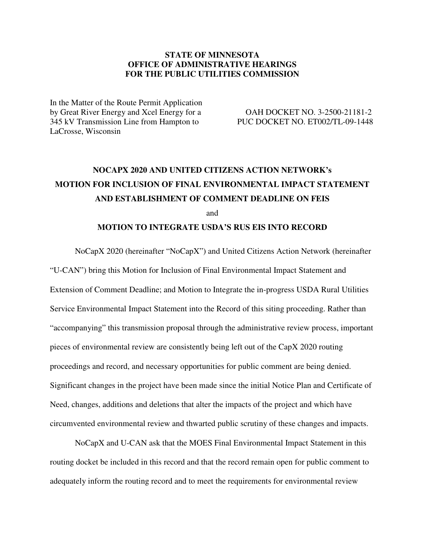# **STATE OF MINNESOTA OFFICE OF ADMINISTRATIVE HEARINGS FOR THE PUBLIC UTILITIES COMMISSION**

In the Matter of the Route Permit Application by Great River Energy and Xcel Energy for a OAH DOCKET NO. 3-2500-21181-2 345 kV Transmission Line from Hampton to PUC DOCKET NO. ET002/TL-09-1448 LaCrosse, Wisconsin

# **NOCAPX 2020 AND UNITED CITIZENS ACTION NETWORK's MOTION FOR INCLUSION OF FINAL ENVIRONMENTAL IMPACT STATEMENT AND ESTABLISHMENT OF COMMENT DEADLINE ON FEIS**  and

# **MOTION TO INTEGRATE USDA'S RUS EIS INTO RECORD**

NoCapX 2020 (hereinafter "NoCapX") and United Citizens Action Network (hereinafter "U-CAN") bring this Motion for Inclusion of Final Environmental Impact Statement and Extension of Comment Deadline; and Motion to Integrate the in-progress USDA Rural Utilities Service Environmental Impact Statement into the Record of this siting proceeding. Rather than "accompanying" this transmission proposal through the administrative review process, important pieces of environmental review are consistently being left out of the CapX 2020 routing proceedings and record, and necessary opportunities for public comment are being denied. Significant changes in the project have been made since the initial Notice Plan and Certificate of Need, changes, additions and deletions that alter the impacts of the project and which have circumvented environmental review and thwarted public scrutiny of these changes and impacts.

NoCapX and U-CAN ask that the MOES Final Environmental Impact Statement in this routing docket be included in this record and that the record remain open for public comment to adequately inform the routing record and to meet the requirements for environmental review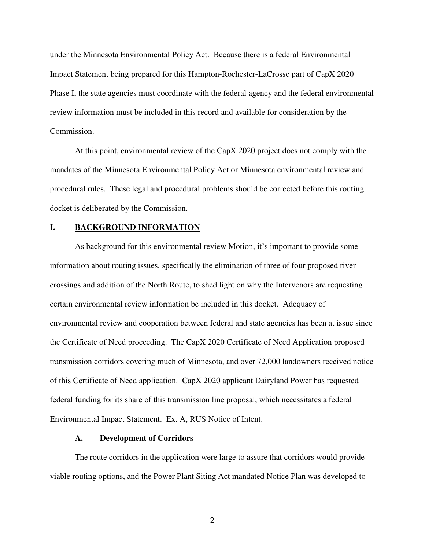under the Minnesota Environmental Policy Act. Because there is a federal Environmental Impact Statement being prepared for this Hampton-Rochester-LaCrosse part of CapX 2020 Phase I, the state agencies must coordinate with the federal agency and the federal environmental review information must be included in this record and available for consideration by the Commission.

At this point, environmental review of the CapX 2020 project does not comply with the mandates of the Minnesota Environmental Policy Act or Minnesota environmental review and procedural rules. These legal and procedural problems should be corrected before this routing docket is deliberated by the Commission.

## **I. BACKGROUND INFORMATION**

As background for this environmental review Motion, it's important to provide some information about routing issues, specifically the elimination of three of four proposed river crossings and addition of the North Route, to shed light on why the Intervenors are requesting certain environmental review information be included in this docket. Adequacy of environmental review and cooperation between federal and state agencies has been at issue since the Certificate of Need proceeding. The CapX 2020 Certificate of Need Application proposed transmission corridors covering much of Minnesota, and over 72,000 landowners received notice of this Certificate of Need application. CapX 2020 applicant Dairyland Power has requested federal funding for its share of this transmission line proposal, which necessitates a federal Environmental Impact Statement. Ex. A, RUS Notice of Intent.

#### **A. Development of Corridors**

The route corridors in the application were large to assure that corridors would provide viable routing options, and the Power Plant Siting Act mandated Notice Plan was developed to

2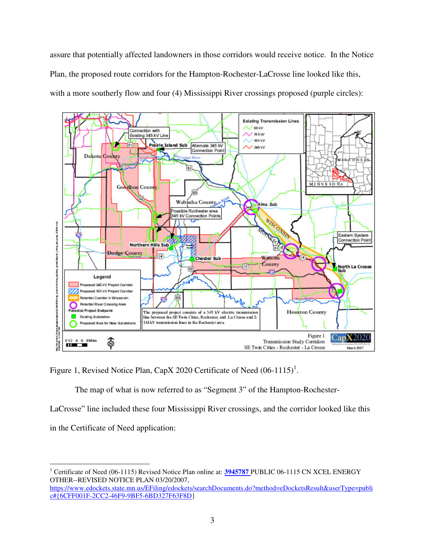assure that potentially affected landowners in those corridors would receive notice. In the Notice Plan, the proposed route corridors for the Hampton-Rochester-LaCrosse line looked like this, with a more southerly flow and four (4) Mississippi River crossings proposed (purple circles):



Figure 1, Revised Notice Plan, CapX 2020 Certificate of Need  $(06-1115)^1$ .

The map of what is now referred to as "Segment 3" of the Hampton-Rochester-

LaCrosse" line included these four Mississippi River crossings, and the corridor looked like this

in the Certificate of Need application:

<sup>-</sup><sup>1</sup> Certificate of Need (06-1115) Revised Notice Plan online at: **3945787** PUBLIC 06-1115 CN XCEL ENERGY OTHER--REVISED NOTICE PLAN 03/20/2007, https://www.edockets.state.mn.us/EFiling/edockets/searchDocuments.do?method=eDocketsResult&userType=publi c#{6CFF001F-2CC2-46F9-9BF5-6BD327F63F8D}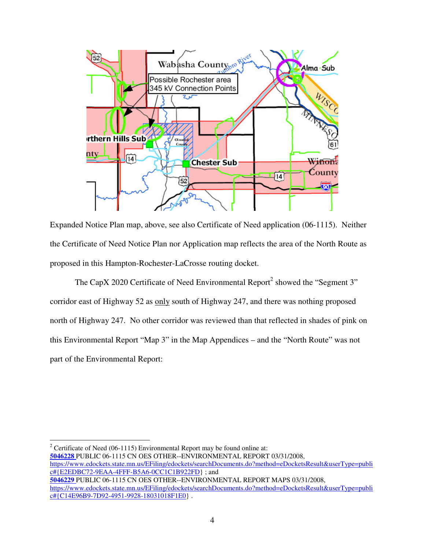

Expanded Notice Plan map, above, see also Certificate of Need application (06-1115). Neither the Certificate of Need Notice Plan nor Application map reflects the area of the North Route as proposed in this Hampton-Rochester-LaCrosse routing docket.

The CapX 2020 Certificate of Need Environmental Report<sup>2</sup> showed the "Segment 3" corridor east of Highway 52 as only south of Highway 247, and there was nothing proposed north of Highway 247. No other corridor was reviewed than that reflected in shades of pink on this Environmental Report "Map 3" in the Map Appendices – and the "North Route" was not part of the Environmental Report:

-

<sup>&</sup>lt;sup>2</sup> Certificate of Need (06-1115) Environmental Report may be found online at: **5046228** PUBLIC 06-1115 CN OES OTHER--ENVIRONMENTAL REPORT 03/31/2008, https://www.edockets.state.mn.us/EFiling/edockets/searchDocuments.do?method=eDocketsResult&userType=publi c#{E2EDBC72-9EAA-4FFF-B5A6-0CC1C1B922FD} ; and **5046229** PUBLIC 06-1115 CN OES OTHER--ENVIRONMENTAL REPORT MAPS 03/31/2008, https://www.edockets.state.mn.us/EFiling/edockets/searchDocuments.do?method=eDocketsResult&userType=publi c#{C14E96B9-7D92-4951-9928-18031018F1E0} .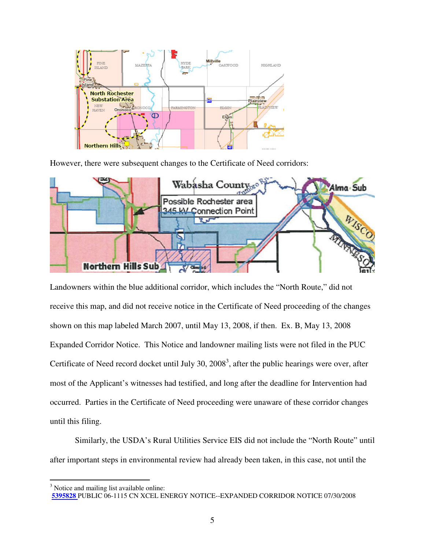

However, there were subsequent changes to the Certificate of Need corridors:



Landowners within the blue additional corridor, which includes the "North Route," did not receive this map, and did not receive notice in the Certificate of Need proceeding of the changes shown on this map labeled March 2007, until May 13, 2008, if then. Ex. B, May 13, 2008 Expanded Corridor Notice. This Notice and landowner mailing lists were not filed in the PUC Certificate of Need record docket until July 30,  $2008<sup>3</sup>$ , after the public hearings were over, after most of the Applicant's witnesses had testified, and long after the deadline for Intervention had occurred. Parties in the Certificate of Need proceeding were unaware of these corridor changes until this filing.

Similarly, the USDA's Rural Utilities Service EIS did not include the "North Route" until after important steps in environmental review had already been taken, in this case, not until the

<sup>&</sup>lt;sup>3</sup> Notice and mailing list available online:

**<sup>5395828</sup>** PUBLIC 06-1115 CN XCEL ENERGY NOTICE--EXPANDED CORRIDOR NOTICE 07/30/2008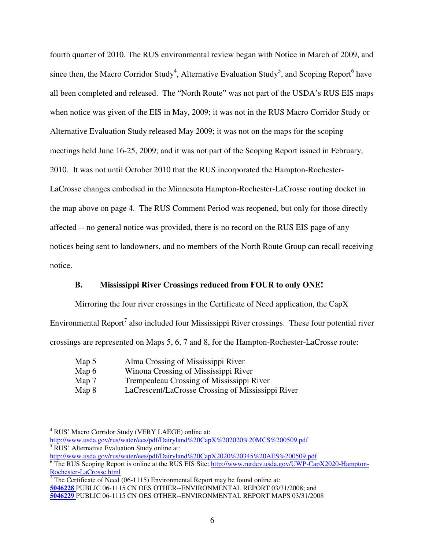fourth quarter of 2010. The RUS environmental review began with Notice in March of 2009, and since then, the Macro Corridor Study<sup>4</sup>, Alternative Evaluation Study<sup>5</sup>, and Scoping Report<sup>6</sup> have all been completed and released. The "North Route" was not part of the USDA's RUS EIS maps when notice was given of the EIS in May, 2009; it was not in the RUS Macro Corridor Study or Alternative Evaluation Study released May 2009; it was not on the maps for the scoping meetings held June 16-25, 2009; and it was not part of the Scoping Report issued in February, 2010. It was not until October 2010 that the RUS incorporated the Hampton-Rochester-LaCrosse changes embodied in the Minnesota Hampton-Rochester-LaCrosse routing docket in the map above on page 4. The RUS Comment Period was reopened, but only for those directly affected -- no general notice was provided, there is no record on the RUS EIS page of any notices being sent to landowners, and no members of the North Route Group can recall receiving notice.

## **B. Mississippi River Crossings reduced from FOUR to only ONE!**

Mirroring the four river crossings in the Certificate of Need application, the CapX Environmental Report<sup>7</sup> also included four Mississippi River crossings. These four potential river crossings are represented on Maps 5, 6, 7 and 8, for the Hampton-Rochester-LaCrosse route:

| Map 5 | Alma Crossing of Mississippi River   |
|-------|--------------------------------------|
| Man6  | Winong Crossing of Mississippi River |

Map 6 Winona Crossing of Mississippi River

<u>.</u>

- Map 7 Trempealeau Crossing of Mississippi River
- Map 8 LaCrescent/LaCrosse Crossing of Mississippi River

<sup>&</sup>lt;sup>4</sup> RUS' Macro Corridor Study (VERY LAEGE) online at: http://www.usda.gov/rus/water/ees/pdf/Dairyland%20CapX%202020%20MCS%200509.pdf 5 RUS' Alternative Evaluation Study online at:

http://www.usda.gov/rus/water/ees/pdf/Dairyland%20CapX2020%20345%20AES%200509.pdf

<sup>&</sup>lt;sup>6</sup> The RUS Scoping Report is online at the RUS EIS Site: http://www.rurdev.usda.gov/UWP-CapX2020-Hampton-Rochester-LaCrosse.html<br><sup>7</sup> The Certificate of Need (06-1115) Environmental Report may be found online at:

**<sup>5046228</sup>** PUBLIC 06-1115 CN OES OTHER--ENVIRONMENTAL REPORT 03/31/2008; and **5046229** PUBLIC 06-1115 CN OES OTHER--ENVIRONMENTAL REPORT MAPS 03/31/2008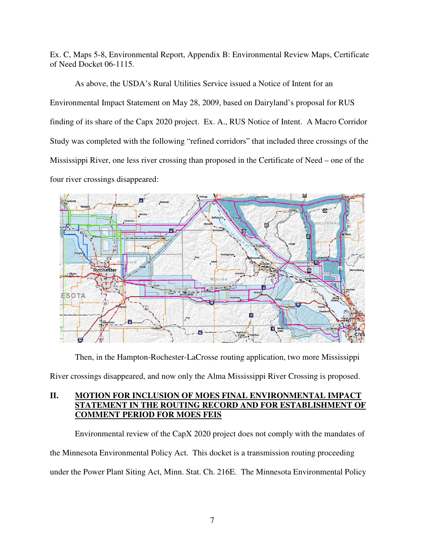Ex. C, Maps 5-8, Environmental Report, Appendix B: Environmental Review Maps, Certificate of Need Docket 06-1115.

 As above, the USDA's Rural Utilities Service issued a Notice of Intent for an Environmental Impact Statement on May 28, 2009, based on Dairyland's proposal for RUS finding of its share of the Capx 2020 project. Ex. A., RUS Notice of Intent. A Macro Corridor Study was completed with the following "refined corridors" that included three crossings of the Mississippi River, one less river crossing than proposed in the Certificate of Need – one of the four river crossings disappeared:



Then, in the Hampton-Rochester-LaCrosse routing application, two more Mississippi

River crossings disappeared, and now only the Alma Mississippi River Crossing is proposed.

# **II. MOTION FOR INCLUSION OF MOES FINAL ENVIRONMENTAL IMPACT STATEMENT IN THE ROUTING RECORD AND FOR ESTABLISHMENT OF COMMENT PERIOD FOR MOES FEIS**

Environmental review of the CapX 2020 project does not comply with the mandates of the Minnesota Environmental Policy Act. This docket is a transmission routing proceeding under the Power Plant Siting Act, Minn. Stat. Ch. 216E. The Minnesota Environmental Policy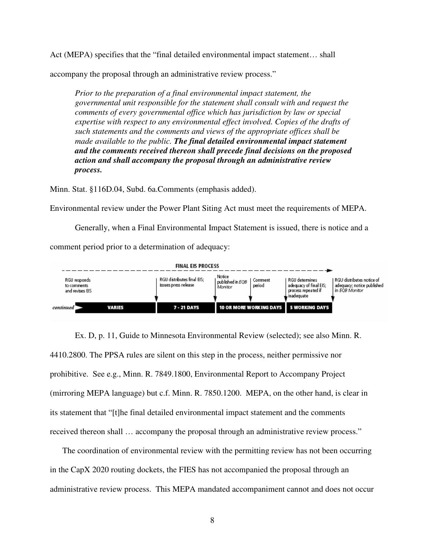Act (MEPA) specifies that the "final detailed environmental impact statement… shall

accompany the proposal through an administrative review process."

*Prior to the preparation of a final environmental impact statement, the governmental unit responsible for the statement shall consult with and request the comments of every governmental office which has jurisdiction by law or special expertise with respect to any environmental effect involved. Copies of the drafts of such statements and the comments and views of the appropriate offices shall be made available to the public. The final detailed environmental impact statement and the comments received thereon shall precede final decisions on the proposed action and shall accompany the proposal through an administrative review process.* 

Minn. Stat. §116D.04, Subd. 6a.Comments (emphasis added).

Environmental review under the Power Plant Siting Act must meet the requirements of MEPA.

 Generally, when a Final Environmental Impact Statement is issued, there is notice and a comment period prior to a determination of adequacy:



Ex. D, p. 11, Guide to Minnesota Environmental Review (selected); see also Minn. R. 4410.2800. The PPSA rules are silent on this step in the process, neither permissive nor prohibitive. See e.g., Minn. R. 7849.1800, Environmental Report to Accompany Project (mirroring MEPA language) but c.f. Minn. R. 7850.1200. MEPA, on the other hand, is clear in its statement that "[t]he final detailed environmental impact statement and the comments received thereon shall … accompany the proposal through an administrative review process."

The coordination of environmental review with the permitting review has not been occurring in the CapX 2020 routing dockets, the FIES has not accompanied the proposal through an administrative review process. This MEPA mandated accompaniment cannot and does not occur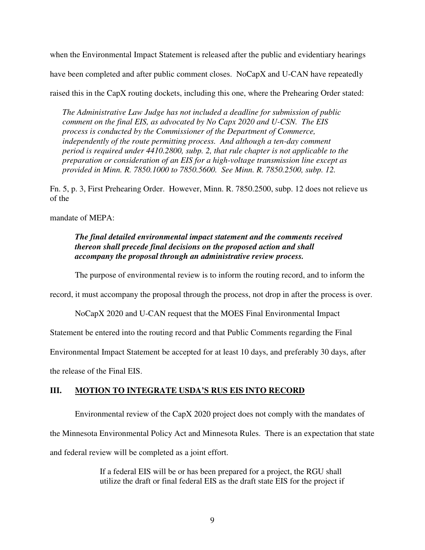when the Environmental Impact Statement is released after the public and evidentiary hearings

have been completed and after public comment closes. NoCapX and U-CAN have repeatedly

raised this in the CapX routing dockets, including this one, where the Prehearing Order stated:

*The Administrative Law Judge has not included a deadline for submission of public comment on the final EIS, as advocated by No Capx 2020 and U-CSN. The EIS process is conducted by the Commissioner of the Department of Commerce, independently of the route permitting process. And although a ten-day comment period is required under 4410.2800, subp. 2, that rule chapter is not applicable to the preparation or consideration of an EIS for a high-voltage transmission line except as provided in Minn. R. 7850.1000 to 7850.5600. See Minn. R. 7850.2500, subp. 12.* 

Fn. 5, p. 3, First Prehearing Order. However, Minn. R. 7850.2500, subp. 12 does not relieve us of the

mandate of MEPA:

*The final detailed environmental impact statement and the comments received thereon shall precede final decisions on the proposed action and shall accompany the proposal through an administrative review process.* 

The purpose of environmental review is to inform the routing record, and to inform the

record, it must accompany the proposal through the process, not drop in after the process is over.

NoCapX 2020 and U-CAN request that the MOES Final Environmental Impact

Statement be entered into the routing record and that Public Comments regarding the Final

Environmental Impact Statement be accepted for at least 10 days, and preferably 30 days, after

the release of the Final EIS.

# **III. MOTION TO INTEGRATE USDA'S RUS EIS INTO RECORD**

Environmental review of the CapX 2020 project does not comply with the mandates of

the Minnesota Environmental Policy Act and Minnesota Rules. There is an expectation that state

and federal review will be completed as a joint effort.

If a federal EIS will be or has been prepared for a project, the RGU shall utilize the draft or final federal EIS as the draft state EIS for the project if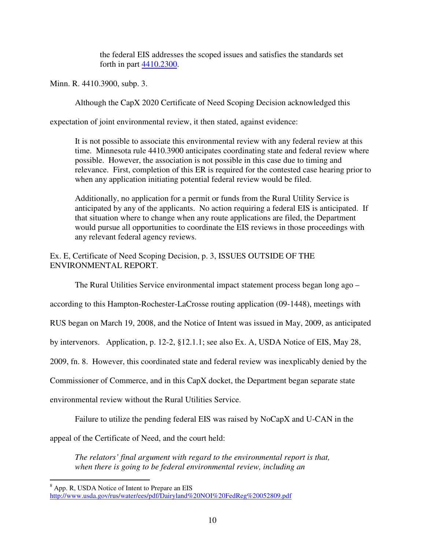the federal EIS addresses the scoped issues and satisfies the standards set forth in part 4410.2300.

Minn. R. 4410.3900, subp. 3.

Although the CapX 2020 Certificate of Need Scoping Decision acknowledged this

expectation of joint environmental review, it then stated, against evidence:

It is not possible to associate this environmental review with any federal review at this time. Minnesota rule 4410.3900 anticipates coordinating state and federal review where possible. However, the association is not possible in this case due to timing and relevance. First, completion of this ER is required for the contested case hearing prior to when any application initiating potential federal review would be filed.

Additionally, no application for a permit or funds from the Rural Utility Service is anticipated by any of the applicants. No action requiring a federal EIS is anticipated. If that situation where to change when any route applications are filed, the Department would pursue all opportunities to coordinate the EIS reviews in those proceedings with any relevant federal agency reviews.

Ex. E, Certificate of Need Scoping Decision, p. 3, ISSUES OUTSIDE OF THE ENVIRONMENTAL REPORT.

The Rural Utilities Service environmental impact statement process began long ago –

according to this Hampton-Rochester-LaCrosse routing application (09-1448), meetings with

RUS began on March 19, 2008, and the Notice of Intent was issued in May, 2009, as anticipated

by intervenors. Application, p. 12-2, §12.1.1; see also Ex. A, USDA Notice of EIS, May 28,

2009, fn. 8. However, this coordinated state and federal review was inexplicably denied by the

Commissioner of Commerce, and in this CapX docket, the Department began separate state

environmental review without the Rural Utilities Service.

Failure to utilize the pending federal EIS was raised by NoCapX and U-CAN in the

appeal of the Certificate of Need, and the court held:

*The relators' final argument with regard to the environmental report is that, when there is going to be federal environmental review, including an* 

<sup>&</sup>lt;sup>8</sup> App. R, USDA Notice of Intent to Prepare an EIS

http://www.usda.gov/rus/water/ees/pdf/Dairyland%20NOI%20FedReg%20052809.pdf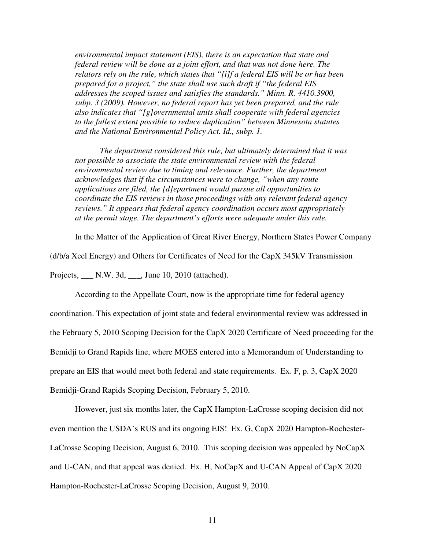*environmental impact statement (EIS), there is an expectation that state and federal review will be done as a joint effort, and that was not done here. The relators rely on the rule, which states that "[i]f a federal EIS will be or has been prepared for a project," the state shall use such draft if "the federal EIS addresses the scoped issues and satisfies the standards." Minn. R. 4410.3900, subp. 3 (2009). However, no federal report has yet been prepared, and the rule also indicates that "[g]overnmental units shall cooperate with federal agencies to the fullest extent possible to reduce duplication" between Minnesota statutes and the National Environmental Policy Act. Id., subp. 1.* 

*The department considered this rule, but ultimately determined that it was not possible to associate the state environmental review with the federal environmental review due to timing and relevance. Further, the department acknowledges that if the circumstances were to change, "when any route applications are filed, the [d]epartment would pursue all opportunities to coordinate the EIS reviews in those proceedings with any relevant federal agency reviews." It appears that federal agency coordination occurs most appropriately at the permit stage. The department's efforts were adequate under this rule.* 

In the Matter of the Application of Great River Energy, Northern States Power Company

(d/b/a Xcel Energy) and Others for Certificates of Need for the CapX 345kV Transmission

Projects, \_\_\_ N.W. 3d, \_\_\_, June 10, 2010 (attached).

According to the Appellate Court, now is the appropriate time for federal agency coordination. This expectation of joint state and federal environmental review was addressed in the February 5, 2010 Scoping Decision for the CapX 2020 Certificate of Need proceeding for the Bemidji to Grand Rapids line, where MOES entered into a Memorandum of Understanding to prepare an EIS that would meet both federal and state requirements. Ex. F, p. 3, CapX 2020 Bemidji-Grand Rapids Scoping Decision, February 5, 2010.

However, just six months later, the CapX Hampton-LaCrosse scoping decision did not even mention the USDA's RUS and its ongoing EIS! Ex. G, CapX 2020 Hampton-Rochester-LaCrosse Scoping Decision, August 6, 2010. This scoping decision was appealed by NoCapX and U-CAN, and that appeal was denied. Ex. H, NoCapX and U-CAN Appeal of CapX 2020 Hampton-Rochester-LaCrosse Scoping Decision, August 9, 2010.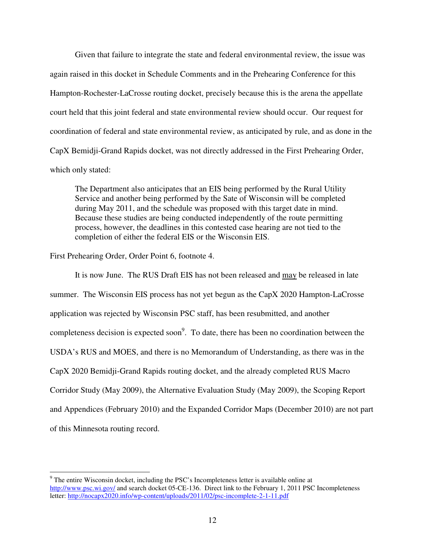Given that failure to integrate the state and federal environmental review, the issue was again raised in this docket in Schedule Comments and in the Prehearing Conference for this Hampton-Rochester-LaCrosse routing docket, precisely because this is the arena the appellate court held that this joint federal and state environmental review should occur. Our request for coordination of federal and state environmental review, as anticipated by rule, and as done in the CapX Bemidji-Grand Rapids docket, was not directly addressed in the First Prehearing Order, which only stated:

The Department also anticipates that an EIS being performed by the Rural Utility Service and another being performed by the Sate of Wisconsin will be completed during May 2011, and the schedule was proposed with this target date in mind. Because these studies are being conducted independently of the route permitting process, however, the deadlines in this contested case hearing are not tied to the completion of either the federal EIS or the Wisconsin EIS.

First Prehearing Order, Order Point 6, footnote 4.

 $\overline{a}$ 

It is now June. The RUS Draft EIS has not been released and may be released in late summer. The Wisconsin EIS process has not yet begun as the CapX 2020 Hampton-LaCrosse application was rejected by Wisconsin PSC staff, has been resubmitted, and another completeness decision is expected soon<sup>9</sup>. To date, there has been no coordination between the USDA's RUS and MOES, and there is no Memorandum of Understanding, as there was in the CapX 2020 Bemidji-Grand Rapids routing docket, and the already completed RUS Macro Corridor Study (May 2009), the Alternative Evaluation Study (May 2009), the Scoping Report and Appendices (February 2010) and the Expanded Corridor Maps (December 2010) are not part of this Minnesota routing record.

<sup>&</sup>lt;sup>9</sup> The entire Wisconsin docket, including the PSC's Incompleteness letter is available online at http://www.psc.wi.gov/ and search docket 05-CE-136. Direct link to the February 1, 2011 PSC Incompleteness letter: http://nocapx2020.info/wp-content/uploads/2011/02/psc-incomplete-2-1-11.pdf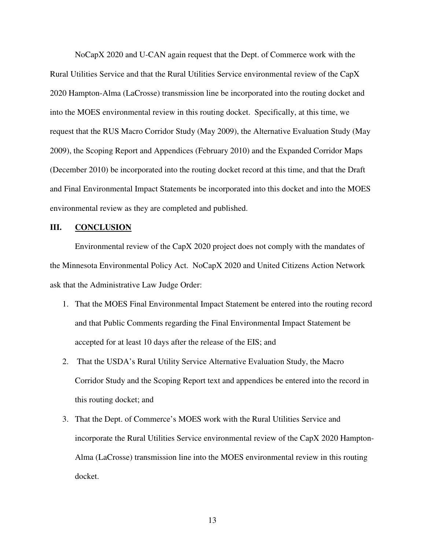NoCapX 2020 and U-CAN again request that the Dept. of Commerce work with the Rural Utilities Service and that the Rural Utilities Service environmental review of the CapX 2020 Hampton-Alma (LaCrosse) transmission line be incorporated into the routing docket and into the MOES environmental review in this routing docket. Specifically, at this time, we request that the RUS Macro Corridor Study (May 2009), the Alternative Evaluation Study (May 2009), the Scoping Report and Appendices (February 2010) and the Expanded Corridor Maps (December 2010) be incorporated into the routing docket record at this time, and that the Draft and Final Environmental Impact Statements be incorporated into this docket and into the MOES environmental review as they are completed and published.

### **III. CONCLUSION**

Environmental review of the CapX 2020 project does not comply with the mandates of the Minnesota Environmental Policy Act. NoCapX 2020 and United Citizens Action Network ask that the Administrative Law Judge Order:

- 1. That the MOES Final Environmental Impact Statement be entered into the routing record and that Public Comments regarding the Final Environmental Impact Statement be accepted for at least 10 days after the release of the EIS; and
- 2. That the USDA's Rural Utility Service Alternative Evaluation Study, the Macro Corridor Study and the Scoping Report text and appendices be entered into the record in this routing docket; and
- 3. That the Dept. of Commerce's MOES work with the Rural Utilities Service and incorporate the Rural Utilities Service environmental review of the CapX 2020 Hampton-Alma (LaCrosse) transmission line into the MOES environmental review in this routing docket.